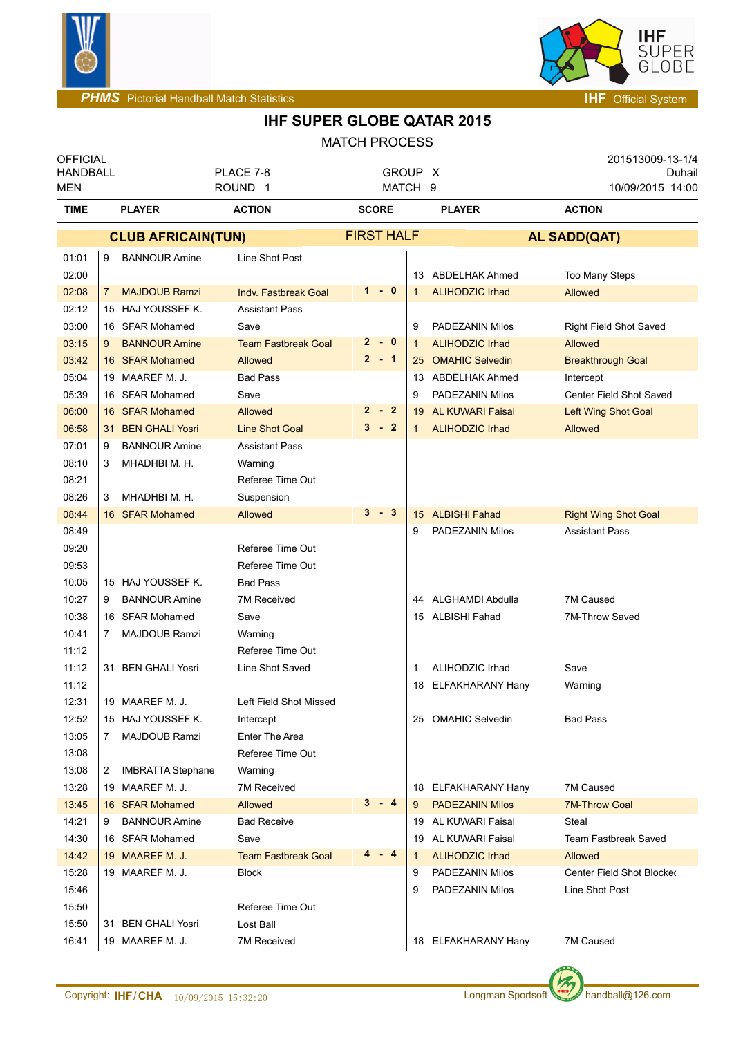



| <b>OFFICIAL</b><br><b>HANDBALL</b> |                                              | PLACE 7-8                     | GROUP X                |                   |                                               |                                      | 201513009-13-1/4<br>Duhail |  |
|------------------------------------|----------------------------------------------|-------------------------------|------------------------|-------------------|-----------------------------------------------|--------------------------------------|----------------------------|--|
| MEN                                |                                              | ROUND <sub>1</sub>            | MATCH 9                |                   |                                               |                                      | 10/09/2015 14:00           |  |
| <b>TIME</b>                        | <b>PLAYER</b>                                | <b>ACTION</b>                 | <b>SCORE</b>           |                   | <b>PLAYER</b>                                 | <b>ACTION</b>                        |                            |  |
|                                    | <b>CLUB AFRICAIN(TUN)</b>                    |                               | <b>FIRST HALF</b>      |                   |                                               | <b>AL SADD(QAT)</b>                  |                            |  |
| 01:01                              | <b>BANNOUR Amine</b><br>9                    | Line Shot Post                |                        |                   |                                               |                                      |                            |  |
| 02:00                              |                                              |                               |                        |                   | 13 ABDELHAK Ahmed                             | Too Many Steps                       |                            |  |
| 02:08                              | <b>MAJDOUB Ramzi</b><br>7                    | <b>Indv. Fastbreak Goal</b>   | $1 - 0$                |                   | <b>ALIHODZIC Irhad</b>                        | Allowed                              |                            |  |
| 02:12                              | 15 HAJ YOUSSEF K.                            | <b>Assistant Pass</b>         |                        |                   |                                               |                                      |                            |  |
| 03:00                              | 16 SFAR Mohamed                              | Save                          |                        | 9                 | PADEZANIN Milos                               | Right Field Shot Saved               |                            |  |
| 03:15                              | <b>BANNOUR Amine</b><br>9                    | <b>Team Fastbreak Goal</b>    | $-0$<br>$\mathbf{2}$   | $\mathbf{1}$      | <b>ALIHODZIC Irhad</b>                        | Allowed                              |                            |  |
| 03:42                              | 16 SFAR Mohamed                              | Allowed                       | $2 - 1$                | 25                | <b>OMAHIC Selvedin</b>                        | <b>Breakthrough Goal</b>             |                            |  |
| 05:04                              | 19 MAAREF M. J.                              | <b>Bad Pass</b>               |                        |                   | 13 ABDELHAK Ahmed                             | Intercept                            |                            |  |
| 05:39                              | 16 SFAR Mohamed                              | Save                          |                        | 9                 | PADEZANIN Milos                               |                                      | Center Field Shot Saved    |  |
| 06:00                              | 16 SFAR Mohamed                              | <b>Allowed</b>                | $\overline{2}$<br>$-2$ | 19                | AL KUWARI Faisal                              | Left Wing Shot Goal                  |                            |  |
| 06:58                              | <b>BEN GHALI Yosri</b><br>31                 | <b>Line Shot Goal</b>         | $3 - 2$                | 1                 | <b>ALIHODZIC Irhad</b>                        | Allowed                              |                            |  |
| 07:01                              | <b>BANNOUR Amine</b><br>9                    | <b>Assistant Pass</b>         |                        |                   |                                               |                                      |                            |  |
| 08:10                              | MHADHBI M. H.<br>3                           | Warning                       |                        |                   |                                               |                                      |                            |  |
| 08:21                              |                                              | Referee Time Out              |                        |                   |                                               |                                      |                            |  |
| 08:26                              | MHADHBI M. H.<br>3                           | Suspension                    |                        |                   |                                               |                                      |                            |  |
| 08:44                              | 16 SFAR Mohamed                              | Allowed                       | $3 - 3$                | 15                | <b>ALBISHI Fahad</b>                          | <b>Right Wing Shot Goal</b>          |                            |  |
| 08:49                              |                                              |                               |                        | 9                 | PADEZANIN Milos                               | <b>Assistant Pass</b>                |                            |  |
| 09:20                              |                                              | Referee Time Out              |                        |                   |                                               |                                      |                            |  |
| 09:53                              |                                              | Referee Time Out              |                        |                   |                                               |                                      |                            |  |
| 10:05                              | 15 HAJ YOUSSEF K.                            | <b>Bad Pass</b>               |                        |                   |                                               |                                      |                            |  |
| 10:27                              | <b>BANNOUR Amine</b><br>9                    | 7M Received                   |                        |                   | 44 ALGHAMDI Abdulla                           | 7M Caused                            |                            |  |
| 10:38                              | 16 SFAR Mohamed                              | Save                          |                        |                   | 15 ALBISHI Fahad                              | 7M-Throw Saved                       |                            |  |
| 10:41                              | MAJDOUB Ramzi<br>7                           | Warning                       |                        |                   |                                               |                                      |                            |  |
| 11:12                              |                                              | Referee Time Out              |                        |                   |                                               |                                      |                            |  |
| 11:12                              | 31 BEN GHALI Yosri                           | Line Shot Saved               |                        | 1                 | ALIHODZIC Irhad                               | Save                                 |                            |  |
| 11:12                              |                                              |                               |                        | 18                | ELFAKHARANY Hany                              | Warning                              |                            |  |
| 12:31                              | 19 MAAREF M. J.                              | Left Field Shot Missed        |                        |                   |                                               |                                      |                            |  |
| 12:52                              | 15 HAJ YOUSSEF K.                            | Intercept                     |                        |                   | 25 OMAHIC Selvedin                            | <b>Bad Pass</b>                      |                            |  |
| 13:05                              | <b>MAJDOUB Ramzi</b><br>7                    | Enter The Area                |                        |                   |                                               |                                      |                            |  |
| 13:08                              |                                              | Referee Time Out              |                        |                   |                                               |                                      |                            |  |
| 13:08                              | <b>IMBRATTA Stephane</b><br>$\mathbf{2}$     | Warning                       |                        |                   |                                               |                                      |                            |  |
| 13:28                              | 19 MAAREF M. J.<br>16 SFAR Mohamed           | 7M Received                   | $3 - 4$                |                   | 18 ELFAKHARANY Hany<br><b>PADEZANIN Milos</b> | 7M Caused                            |                            |  |
| 13:45                              |                                              | Allowed<br><b>Bad Receive</b> |                        | 9                 |                                               | <b>7M-Throw Goal</b>                 |                            |  |
| 14:21<br>14:30                     | <b>BANNOUR Amine</b><br>9<br>16 SFAR Mohamed | Save                          |                        |                   | 19 AL KUWARI Faisal<br>AL KUWARI Faisal       | Steal<br><b>Team Fastbreak Saved</b> |                            |  |
| 14:42                              | 19 MAAREF M. J.                              | <b>Team Fastbreak Goal</b>    | $4 - 4$                | 19                | <b>ALIHODZIC Irhad</b>                        | Allowed                              |                            |  |
| 15:28                              | 19 MAAREF M. J.                              | <b>Block</b>                  |                        | $\mathbf{1}$<br>9 | PADEZANIN Milos                               |                                      | Center Field Shot Blocker  |  |
| 15:46                              |                                              |                               |                        | 9                 | PADEZANIN Milos                               | Line Shot Post                       |                            |  |
| 15:50                              |                                              | Referee Time Out              |                        |                   |                                               |                                      |                            |  |
| 15:50                              | 31 BEN GHALI Yosri                           | Lost Ball                     |                        |                   |                                               |                                      |                            |  |
| 16:41                              | 19 MAAREF M. J.                              | 7M Received                   |                        |                   | 18 ELFAKHARANY Hany                           | 7M Caused                            |                            |  |
|                                    |                                              |                               |                        |                   |                                               |                                      |                            |  |

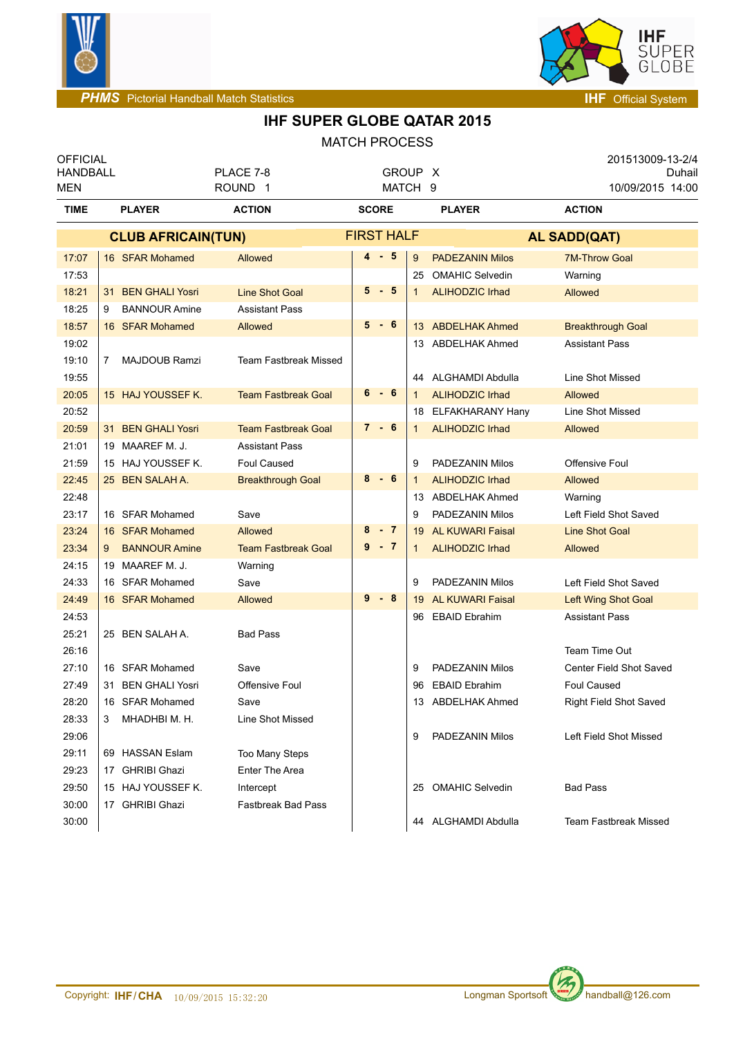



| <b>OFFICIAL</b><br><b>HANDBALL</b><br><b>MEN</b> |                              | PLACE 7-8<br>ROUND <sub>1</sub> | GROUP X<br>MATCH 9      |                               | 201513009-13-2/4<br>Duhail<br>10/09/2015 14:00 |
|--------------------------------------------------|------------------------------|---------------------------------|-------------------------|-------------------------------|------------------------------------------------|
| <b>TIME</b>                                      | <b>PLAYER</b>                | <b>ACTION</b>                   | <b>SCORE</b>            | <b>PLAYER</b>                 | <b>ACTION</b>                                  |
|                                                  | <b>CLUB AFRICAIN(TUN)</b>    |                                 | <b>FIRST HALF</b>       |                               | <b>AL SADD(QAT)</b>                            |
| 17:07                                            | 16 SFAR Mohamed              | Allowed                         | $4 - 5$<br>9            | <b>PADEZANIN Milos</b>        | <b>7M-Throw Goal</b>                           |
| 17:53                                            |                              |                                 |                         | <b>OMAHIC Selvedin</b><br>25  | Warning                                        |
| 18:21                                            | 31 BEN GHALI Yosri           | <b>Line Shot Goal</b>           | $5 - 5$<br>$\mathbf{1}$ | <b>ALIHODZIC Irhad</b>        | <b>Allowed</b>                                 |
| 18:25                                            | <b>BANNOUR Amine</b><br>9    | <b>Assistant Pass</b>           |                         |                               |                                                |
| 18:57                                            | 16 SFAR Mohamed              | <b>Allowed</b>                  | $5 - 6$                 | 13 ABDELHAK Ahmed             | <b>Breakthrough Goal</b>                       |
| 19:02                                            |                              |                                 |                         | 13 ABDELHAK Ahmed             | <b>Assistant Pass</b>                          |
| 19:10                                            | <b>MAJDOUB Ramzi</b><br>7.   | <b>Team Fastbreak Missed</b>    |                         |                               |                                                |
| 19:55                                            |                              |                                 |                         | 44 ALGHAMDI Abdulla           | Line Shot Missed                               |
| 20:05                                            | 15 HAJ YOUSSEF K.            | <b>Team Fastbreak Goal</b>      | $6 - 6$<br>$\mathbf{1}$ | <b>ALIHODZIC Irhad</b>        | <b>Allowed</b>                                 |
| 20:52                                            |                              |                                 |                         | ELFAKHARANY Hany<br>18        | <b>Line Shot Missed</b>                        |
| 20:59                                            | 31 BEN GHALI Yosri           | <b>Team Fastbreak Goal</b>      | $7 - 6$<br>$\mathbf{1}$ | <b>ALIHODZIC Irhad</b>        | <b>Allowed</b>                                 |
| 21:01                                            | 19 MAAREF M. J.              | <b>Assistant Pass</b>           |                         |                               |                                                |
| 21:59                                            | 15 HAJ YOUSSEF K.            | <b>Foul Caused</b>              | 9                       | PADEZANIN Milos               | Offensive Foul                                 |
| 22:45                                            | 25 BEN SALAH A.              | <b>Breakthrough Goal</b>        | $8 - 6$<br>$\mathbf{1}$ | <b>ALIHODZIC Irhad</b>        | <b>Allowed</b>                                 |
| 22:48                                            |                              |                                 |                         | 13 ABDELHAK Ahmed             | Warning                                        |
| 23:17                                            | 16 SFAR Mohamed              | Save                            | 9                       | PADEZANIN Milos               | Left Field Shot Saved                          |
| 23:24                                            | 16 SFAR Mohamed              | Allowed                         | 8<br>$-7$               | <b>AL KUWARI Faisal</b><br>19 | <b>Line Shot Goal</b>                          |
| 23:34                                            | <b>BANNOUR Amine</b><br>9    | <b>Team Fastbreak Goal</b>      | $9 - 7$<br>$\mathbf{1}$ | <b>ALIHODZIC Irhad</b>        | Allowed                                        |
| 24:15                                            | 19 MAAREF M. J.              | Warning                         |                         |                               |                                                |
| 24:33                                            | 16 SFAR Mohamed              | Save                            | 9                       | PADEZANIN Milos               | Left Field Shot Saved                          |
| 24:49                                            | 16 SFAR Mohamed              | <b>Allowed</b>                  | $9 - 8$                 | <b>AL KUWARI Faisal</b><br>19 | Left Wing Shot Goal                            |
| 24:53                                            |                              |                                 |                         | 96 EBAID Ebrahim              | <b>Assistant Pass</b>                          |
| 25:21                                            | 25 BEN SALAH A.              | <b>Bad Pass</b>                 |                         |                               |                                                |
| 26:16                                            |                              |                                 |                         |                               | Team Time Out                                  |
| 27:10                                            | 16 SFAR Mohamed              | Save                            | 9                       | PADEZANIN Milos               | Center Field Shot Saved                        |
| 27:49                                            | <b>BEN GHALI Yosri</b><br>31 | Offensive Foul                  |                         | <b>EBAID Ebrahim</b><br>96    | <b>Foul Caused</b>                             |
| 28:20                                            | 16 SFAR Mohamed              | Save                            |                         | ABDELHAK Ahmed<br>13          | <b>Right Field Shot Saved</b>                  |
| 28:33                                            | 3<br>MHADHBI M. H.           | Line Shot Missed                |                         |                               |                                                |
| 29:06                                            |                              |                                 | 9                       | PADEZANIN Milos               | Left Field Shot Missed                         |
| 29:11                                            | 69 HASSAN Eslam              | Too Many Steps                  |                         |                               |                                                |
| 29:23                                            | 17 GHRIBI Ghazi              | Enter The Area                  |                         |                               |                                                |
| 29:50                                            | 15 HAJ YOUSSEF K.            | Intercept                       |                         | 25 OMAHIC Selvedin            | <b>Bad Pass</b>                                |
| 30:00                                            | 17 GHRIBI Ghazi              | <b>Fastbreak Bad Pass</b>       |                         |                               |                                                |
| 30:00                                            |                              |                                 |                         | 44 ALGHAMDI Abdulla           | <b>Team Fastbreak Missed</b>                   |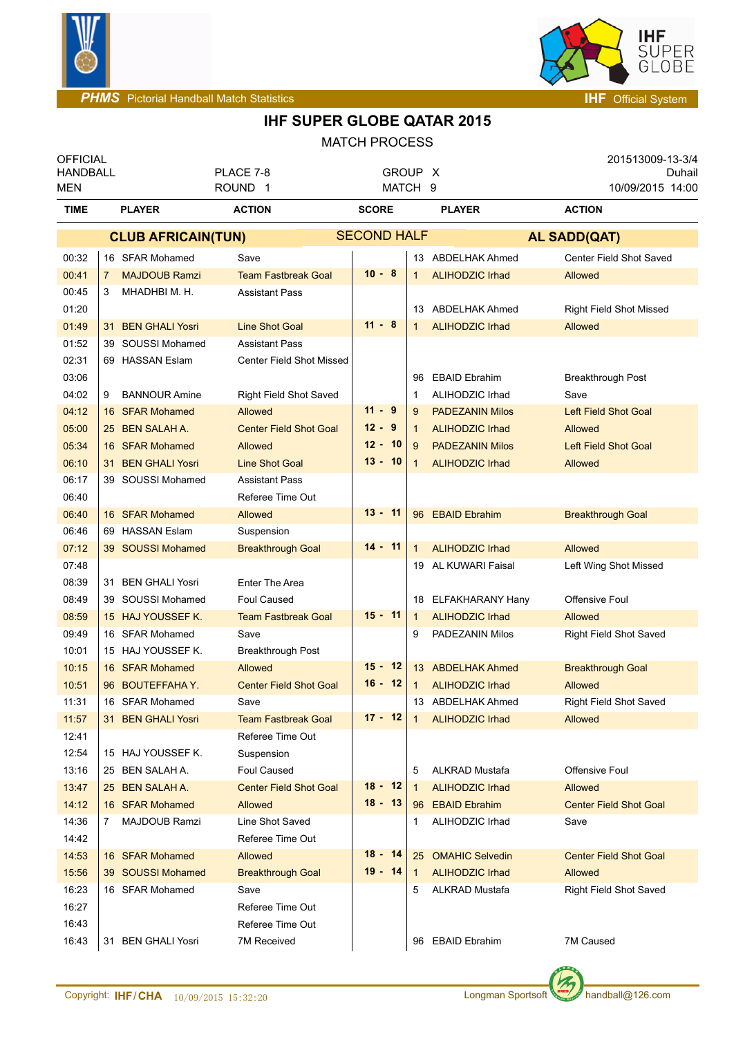



| <b>OFFICIAL</b><br><b>HANDBALL</b> |                                      | PLACE 7-8                     | GROUP X                 |                |                        | 201513009-13-3/4<br>Duhail     |  |
|------------------------------------|--------------------------------------|-------------------------------|-------------------------|----------------|------------------------|--------------------------------|--|
| MEN                                |                                      | ROUND <sub>1</sub>            | MATCH 9<br><b>SCORE</b> |                |                        | 10/09/2015 14:00               |  |
| <b>TIME</b>                        | <b>PLAYER</b><br><b>ACTION</b>       |                               |                         |                | <b>PLAYER</b>          | <b>ACTION</b>                  |  |
|                                    | <b>CLUB AFRICAIN(TUN)</b>            |                               | <b>SECOND HALF</b>      |                |                        | <b>AL SADD(QAT)</b>            |  |
| 00:32                              | 16 SFAR Mohamed                      | Save                          |                         |                | 13 ABDELHAK Ahmed      | Center Field Shot Saved        |  |
| 00:41                              | <b>MAJDOUB Ramzi</b><br>$\mathbf{7}$ | <b>Team Fastbreak Goal</b>    | $10 - 8$                | $\mathbf{1}$   | <b>ALIHODZIC Irhad</b> | <b>Allowed</b>                 |  |
| 00:45                              | MHADHBI M. H.<br>3                   | <b>Assistant Pass</b>         |                         |                |                        |                                |  |
| 01:20                              |                                      |                               |                         | 13             | ABDELHAK Ahmed         | <b>Right Field Shot Missed</b> |  |
| 01:49                              | 31 BEN GHALI Yosri                   | <b>Line Shot Goal</b>         | $11 - 8$                | $\mathbf{1}$   | <b>ALIHODZIC Irhad</b> | <b>Allowed</b>                 |  |
| 01:52                              | 39 SOUSSI Mohamed                    | <b>Assistant Pass</b>         |                         |                |                        |                                |  |
| 02:31                              | 69 HASSAN Eslam                      | Center Field Shot Missed      |                         |                |                        |                                |  |
| 03:06                              |                                      |                               |                         | 96             | <b>EBAID Ebrahim</b>   | <b>Breakthrough Post</b>       |  |
| 04:02                              | <b>BANNOUR Amine</b><br>9            | <b>Right Field Shot Saved</b> |                         | 1              | ALIHODZIC Irhad        | Save                           |  |
| 04:12                              | 16 SFAR Mohamed                      | Allowed                       | $11 - 9$                | 9              | <b>PADEZANIN Milos</b> | <b>Left Field Shot Goal</b>    |  |
| 05:00                              | 25 BEN SALAH A.                      | <b>Center Field Shot Goal</b> | $12 - 9$                | $\mathbf{1}$   | <b>ALIHODZIC Irhad</b> | <b>Allowed</b>                 |  |
| 05:34                              | 16 SFAR Mohamed                      | Allowed                       | $12 - 10$               | $\overline{9}$ | <b>PADEZANIN Milos</b> | <b>Left Field Shot Goal</b>    |  |
| 06:10                              | 31 BEN GHALI Yosri                   | <b>Line Shot Goal</b>         | $13 - 10$               | 1              | <b>ALIHODZIC Irhad</b> | <b>Allowed</b>                 |  |
| 06:17                              | 39 SOUSSI Mohamed                    | <b>Assistant Pass</b>         |                         |                |                        |                                |  |
| 06:40                              |                                      | Referee Time Out              |                         |                |                        |                                |  |
| 06:40                              | 16 SFAR Mohamed                      | Allowed                       | $13 - 11$               |                | 96 EBAID Ebrahim       | <b>Breakthrough Goal</b>       |  |
| 06:46                              | 69 HASSAN Eslam                      | Suspension                    |                         |                |                        |                                |  |
| 07:12                              | 39 SOUSSI Mohamed                    | <b>Breakthrough Goal</b>      | $14 - 11$               | $\mathbf{1}$   | <b>ALIHODZIC Irhad</b> | Allowed                        |  |
| 07:48                              |                                      |                               |                         |                | 19 AL KUWARI Faisal    | Left Wing Shot Missed          |  |
| 08:39                              | 31 BEN GHALI Yosri                   | <b>Enter The Area</b>         |                         |                |                        |                                |  |
| 08:49                              | 39 SOUSSI Mohamed                    | Foul Caused                   |                         |                | 18 ELFAKHARANY Hany    | Offensive Foul                 |  |
| 08:59                              | 15 HAJ YOUSSEF K.                    | <b>Team Fastbreak Goal</b>    | $15 - 11$               | $\mathbf{1}$   | <b>ALIHODZIC Irhad</b> | Allowed                        |  |
| 09:49                              | 16 SFAR Mohamed                      | Save                          |                         | 9              | PADEZANIN Milos        | Right Field Shot Saved         |  |
| 10:01                              | 15 HAJ YOUSSEF K.                    | <b>Breakthrough Post</b>      |                         |                |                        |                                |  |
| 10:15                              | 16 SFAR Mohamed                      | Allowed                       | $15 - 12$               |                | 13 ABDELHAK Ahmed      | <b>Breakthrough Goal</b>       |  |
| 10:51                              | 96 BOUTEFFAHAY.                      | <b>Center Field Shot Goal</b> | $16 - 12$               | $\mathbf 1$    | <b>ALIHODZIC Irhad</b> | <b>Allowed</b>                 |  |
| 11:31                              | 16 SFAR Mohamed                      | Save                          |                         |                | 13 ABDELHAK Ahmed      | <b>Right Field Shot Saved</b>  |  |
| 11:57                              | 31 BEN GHALI Yosri                   | <b>Team Fastbreak Goal</b>    | $17 - 12$               | $\overline{1}$ | <b>ALIHODZIC Irhad</b> | Allowed                        |  |
| 12:41                              |                                      | Referee Time Out              |                         |                |                        |                                |  |
| 12:54                              | 15 HAJ YOUSSEF K.                    | Suspension                    |                         |                |                        |                                |  |
| 13:16                              | 25 BEN SALAH A.                      | <b>Foul Caused</b>            |                         | 5              | <b>ALKRAD Mustafa</b>  | Offensive Foul                 |  |
| 13:47                              | 25 BEN SALAH A.                      | <b>Center Field Shot Goal</b> | $18 - 12$               | $\overline{1}$ | <b>ALIHODZIC Irhad</b> | Allowed                        |  |
| 14:12                              | 16 SFAR Mohamed                      | Allowed                       | $18 - 13$               |                | 96 EBAID Ebrahim       | <b>Center Field Shot Goal</b>  |  |
| 14:36                              | MAJDOUB Ramzi<br>$7^{\circ}$         | Line Shot Saved               |                         | 1              | ALIHODZIC Irhad        | Save                           |  |
| 14:42                              |                                      | Referee Time Out              |                         |                |                        |                                |  |
| 14:53                              | 16 SFAR Mohamed                      | Allowed                       | $18 - 14$               |                | 25 OMAHIC Selvedin     | <b>Center Field Shot Goal</b>  |  |
| 15:56                              | 39 SOUSSI Mohamed                    | <b>Breakthrough Goal</b>      | $19 - 14$               | $\mathbf{1}$   | <b>ALIHODZIC Irhad</b> | Allowed                        |  |
| 16:23                              | 16 SFAR Mohamed                      | Save                          |                         | 5              | ALKRAD Mustafa         | Right Field Shot Saved         |  |
| 16:27                              |                                      | Referee Time Out              |                         |                |                        |                                |  |
| 16:43                              |                                      | Referee Time Out              |                         |                |                        |                                |  |
| 16:43                              | 31 BEN GHALI Yosri                   | 7M Received                   |                         |                | 96 EBAID Ebrahim       | 7M Caused                      |  |